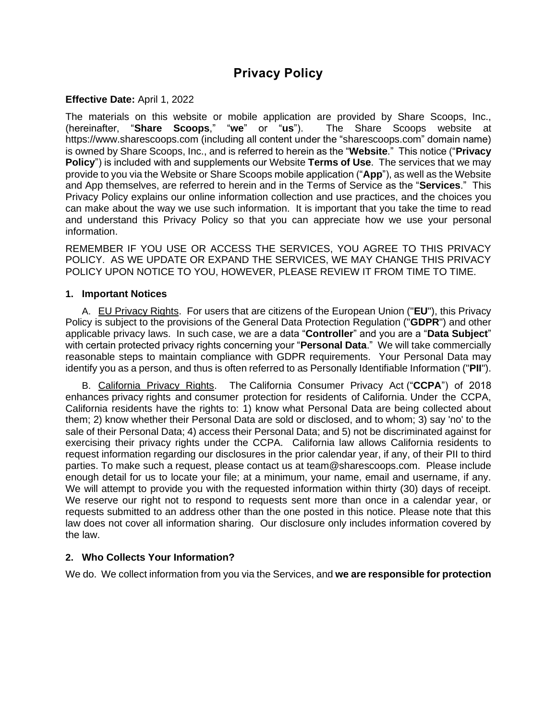# **Privacy Policy**

### **Effective Date:** April 1, 2022

The materials on this website or mobile application are provided by Share Scoops, Inc., (hereinafter, "**Share Scoops**," "**we**" or "**us**"). The Share Scoops website at https://www.sharescoops.com (including all content under the "sharescoops.com" domain name) is owned by Share Scoops, Inc., and is referred to herein as the "**Website**." This notice ("**Privacy Policy**") is included with and supplements our Website **Terms of Use**. The services that we may provide to you via the Website or Share Scoops mobile application ("**App**"), as well as the Website and App themselves, are referred to herein and in the Terms of Service as the "**Services**." This Privacy Policy explains our online information collection and use practices, and the choices you can make about the way we use such information. It is important that you take the time to read and understand this Privacy Policy so that you can appreciate how we use your personal information.

REMEMBER IF YOU USE OR ACCESS THE SERVICES, YOU AGREE TO THIS PRIVACY POLICY. AS WE UPDATE OR EXPAND THE SERVICES, WE MAY CHANGE THIS PRIVACY POLICY UPON NOTICE TO YOU, HOWEVER, PLEASE REVIEW IT FROM TIME TO TIME.

#### **1. Important Notices**

A. EU Privacy Rights. For users that are citizens of the European Union ("**EU**"), this Privacy Policy is subject to the provisions of the General Data Protection Regulation ("**GDPR**") and other applicable privacy laws. In such case, we are a data "**Controller**" and you are a "**Data Subject**" with certain protected privacy rights concerning your "**Personal Data**." We will take commercially reasonable steps to maintain compliance with GDPR requirements. Your Personal Data may identify you as a person, and thus is often referred to as Personally Identifiable Information ("**PII**").

B. California Privacy Rights. The California Consumer Privacy Act ("**CCPA**") of 2018 enhances privacy rights and consumer protection for residents of California. Under the CCPA, California residents have the rights to: 1) know what Personal Data are being collected about them; 2) know whether their Personal Data are sold or disclosed, and to whom; 3) say 'no' to the sale of their Personal Data; 4) access their Personal Data; and 5) not be discriminated against for exercising their privacy rights under the CCPA. California law allows California residents to request information regarding our disclosures in the prior calendar year, if any, of their PII to third parties. To make such a request, please contact us at team@sharescoops.com. Please include enough detail for us to locate your file; at a minimum, your name, email and username, if any. We will attempt to provide you with the requested information within thirty (30) days of receipt. We reserve our right not to respond to requests sent more than once in a calendar year, or requests submitted to an address other than the one posted in this notice. Please note that this law does not cover all information sharing. Our disclosure only includes information covered by the law.

# **2. Who Collects Your Information?**

We do. We collect information from you via the Services, and **we are responsible for protection**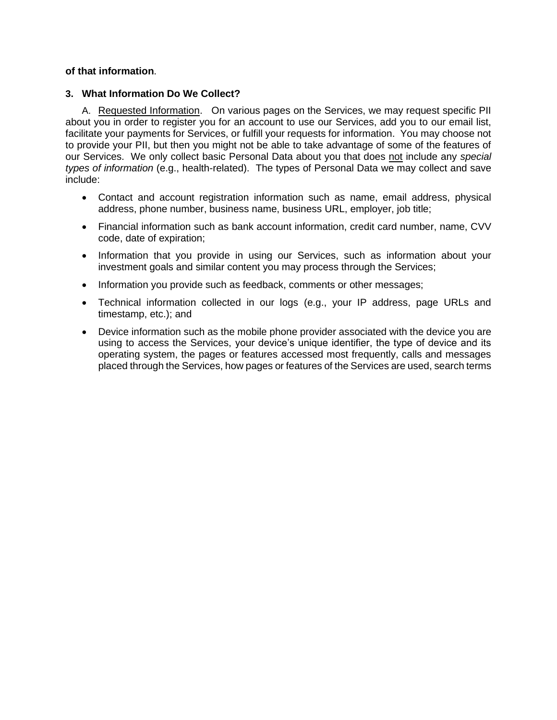# **of that information**.

#### **3. What Information Do We Collect?**

A. Requested Information. On various pages on the Services, we may request specific PII about you in order to register you for an account to use our Services, add you to our email list, facilitate your payments for Services, or fulfill your requests for information. You may choose not to provide your PII, but then you might not be able to take advantage of some of the features of our Services. We only collect basic Personal Data about you that does not include any *special types of information* (e.g., health-related). The types of Personal Data we may collect and save include:

- Contact and account registration information such as name, email address, physical address, phone number, business name, business URL, employer, job title;
- Financial information such as bank account information, credit card number, name, CVV code, date of expiration;
- Information that you provide in using our Services, such as information about your investment goals and similar content you may process through the Services;
- Information you provide such as feedback, comments or other messages;
- Technical information collected in our logs (e.g., your IP address, page URLs and timestamp, etc.); and
- Device information such as the mobile phone provider associated with the device you are using to access the Services, your device's unique identifier, the type of device and its operating system, the pages or features accessed most frequently, calls and messages placed through the Services, how pages or features of the Services are used, search terms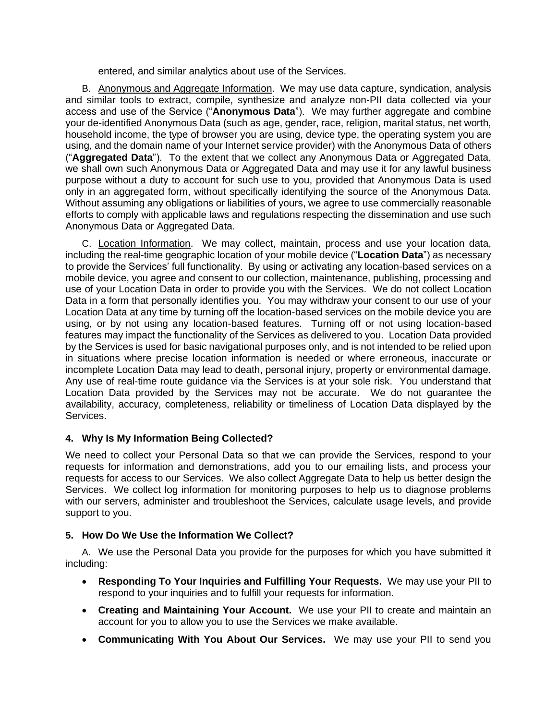entered, and similar analytics about use of the Services.

B. Anonymous and Aggregate Information. We may use data capture, syndication, analysis and similar tools to extract, compile, synthesize and analyze non-PII data collected via your access and use of the Service ("**Anonymous Data**"). We may further aggregate and combine your de-identified Anonymous Data (such as age, gender, race, religion, marital status, net worth, household income, the type of browser you are using, device type, the operating system you are using, and the domain name of your Internet service provider) with the Anonymous Data of others ("**Aggregated Data**"). To the extent that we collect any Anonymous Data or Aggregated Data, we shall own such Anonymous Data or Aggregated Data and may use it for any lawful business purpose without a duty to account for such use to you, provided that Anonymous Data is used only in an aggregated form, without specifically identifying the source of the Anonymous Data. Without assuming any obligations or liabilities of yours, we agree to use commercially reasonable efforts to comply with applicable laws and regulations respecting the dissemination and use such Anonymous Data or Aggregated Data.

C. Location Information. We may collect, maintain, process and use your location data, including the real-time geographic location of your mobile device ("**Location Data**") as necessary to provide the Services' full functionality. By using or activating any location-based services on a mobile device, you agree and consent to our collection, maintenance, publishing, processing and use of your Location Data in order to provide you with the Services. We do not collect Location Data in a form that personally identifies you. You may withdraw your consent to our use of your Location Data at any time by turning off the location-based services on the mobile device you are using, or by not using any location-based features. Turning off or not using location-based features may impact the functionality of the Services as delivered to you. Location Data provided by the Services is used for basic navigational purposes only, and is not intended to be relied upon in situations where precise location information is needed or where erroneous, inaccurate or incomplete Location Data may lead to death, personal injury, property or environmental damage. Any use of real-time route guidance via the Services is at your sole risk. You understand that Location Data provided by the Services may not be accurate. We do not guarantee the availability, accuracy, completeness, reliability or timeliness of Location Data displayed by the Services.

# **4. Why Is My Information Being Collected?**

We need to collect your Personal Data so that we can provide the Services, respond to your requests for information and demonstrations, add you to our emailing lists, and process your requests for access to our Services. We also collect Aggregate Data to help us better design the Services. We collect log information for monitoring purposes to help us to diagnose problems with our servers, administer and troubleshoot the Services, calculate usage levels, and provide support to you.

# **5. How Do We Use the Information We Collect?**

A. We use the Personal Data you provide for the purposes for which you have submitted it including:

- **Responding To Your Inquiries and Fulfilling Your Requests.** We may use your PII to respond to your inquiries and to fulfill your requests for information.
- **Creating and Maintaining Your Account.** We use your PII to create and maintain an account for you to allow you to use the Services we make available.
- **Communicating With You About Our Services.** We may use your PII to send you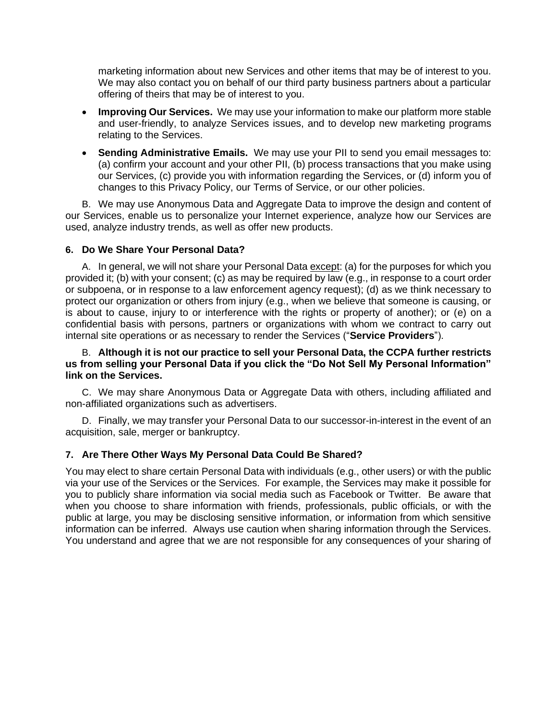marketing information about new Services and other items that may be of interest to you. We may also contact you on behalf of our third party business partners about a particular offering of theirs that may be of interest to you.

- **Improving Our Services.** We may use your information to make our platform more stable and user-friendly, to analyze Services issues, and to develop new marketing programs relating to the Services.
- **Sending Administrative Emails.** We may use your PII to send you email messages to: (a) confirm your account and your other PII, (b) process transactions that you make using our Services, (c) provide you with information regarding the Services, or (d) inform you of changes to this Privacy Policy, our Terms of Service, or our other policies.

B. We may use Anonymous Data and Aggregate Data to improve the design and content of our Services, enable us to personalize your Internet experience, analyze how our Services are used, analyze industry trends, as well as offer new products.

# **6. Do We Share Your Personal Data?**

A. In general, we will not share your Personal Data except: (a) for the purposes for which you provided it; (b) with your consent; (c) as may be required by law (e.g., in response to a court order or subpoena, or in response to a law enforcement agency request); (d) as we think necessary to protect our organization or others from injury (e.g., when we believe that someone is causing, or is about to cause, injury to or interference with the rights or property of another); or (e) on a confidential basis with persons, partners or organizations with whom we contract to carry out internal site operations or as necessary to render the Services ("**Service Providers**").

#### B. **Although it is not our practice to sell your Personal Data, the CCPA further restricts us from selling your Personal Data if you click the "Do Not Sell My Personal Information" link on the Services.**

C. We may share Anonymous Data or Aggregate Data with others, including affiliated and non-affiliated organizations such as advertisers.

D. Finally, we may transfer your Personal Data to our successor-in-interest in the event of an acquisition, sale, merger or bankruptcy.

# **7. Are There Other Ways My Personal Data Could Be Shared?**

You may elect to share certain Personal Data with individuals (e.g., other users) or with the public via your use of the Services or the Services. For example, the Services may make it possible for you to publicly share information via social media such as Facebook or Twitter. Be aware that when you choose to share information with friends, professionals, public officials, or with the public at large, you may be disclosing sensitive information, or information from which sensitive information can be inferred. Always use caution when sharing information through the Services. You understand and agree that we are not responsible for any consequences of your sharing of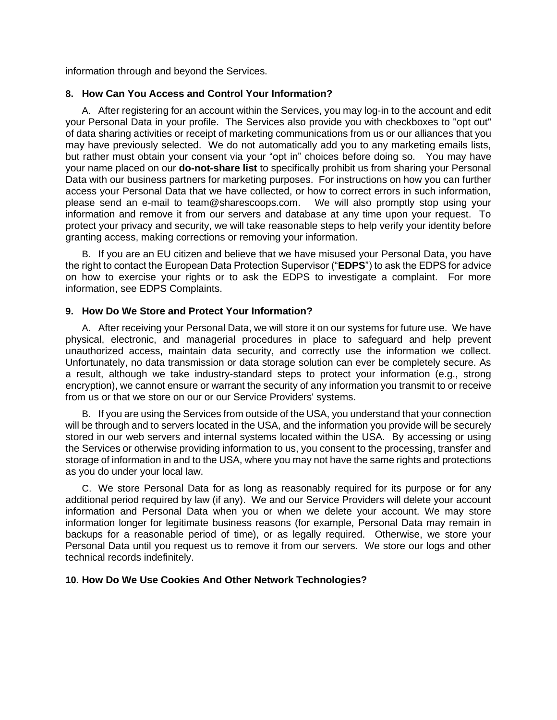information through and beyond the Services.

#### **8. How Can You Access and Control Your Information?**

A. After registering for an account within the Services, you may log-in to the account and edit your Personal Data in your profile. The Services also provide you with checkboxes to "opt out" of data sharing activities or receipt of marketing communications from us or our alliances that you may have previously selected. We do not automatically add you to any marketing emails lists, but rather must obtain your consent via your "opt in" choices before doing so. You may have your name placed on our **do-not-share list** to specifically prohibit us from sharing your Personal Data with our business partners for marketing purposes. For instructions on how you can further access your Personal Data that we have collected, or how to correct errors in such information, please send an e-mail to team@sharescoops.com. We will also promptly stop using your information and remove it from our servers and database at any time upon your request. To protect your privacy and security, we will take reasonable steps to help verify your identity before granting access, making corrections or removing your information.

B. If you are an EU citizen and believe that we have misused your Personal Data, you have the right to contact the European Data Protection Supervisor ("**EDPS**") to ask the EDPS for advice on how to exercise your rights or to ask the EDPS to investigate a complaint. For more information, see EDPS Complaints.

#### **9. How Do We Store and Protect Your Information?**

A. After receiving your Personal Data, we will store it on our systems for future use. We have physical, electronic, and managerial procedures in place to safeguard and help prevent unauthorized access, maintain data security, and correctly use the information we collect. Unfortunately, no data transmission or data storage solution can ever be completely secure. As a result, although we take industry-standard steps to protect your information (e.g., strong encryption), we cannot ensure or warrant the security of any information you transmit to or receive from us or that we store on our or our Service Providers' systems.

B. If you are using the Services from outside of the USA, you understand that your connection will be through and to servers located in the USA, and the information you provide will be securely stored in our web servers and internal systems located within the USA. By accessing or using the Services or otherwise providing information to us, you consent to the processing, transfer and storage of information in and to the USA, where you may not have the same rights and protections as you do under your local law.

C. We store Personal Data for as long as reasonably required for its purpose or for any additional period required by law (if any). We and our Service Providers will delete your account information and Personal Data when you or when we delete your account. We may store information longer for legitimate business reasons (for example, Personal Data may remain in backups for a reasonable period of time), or as legally required. Otherwise, we store your Personal Data until you request us to remove it from our servers. We store our logs and other technical records indefinitely.

# **10. How Do We Use Cookies And Other Network Technologies?**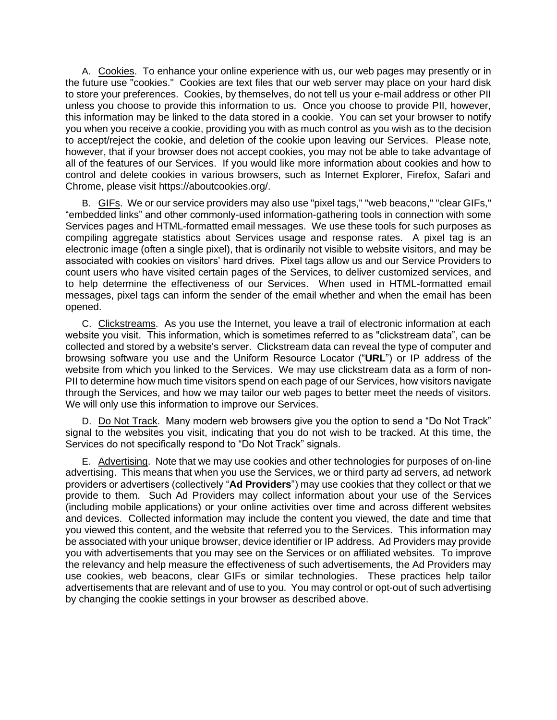A. Cookies. To enhance your online experience with us, our web pages may presently or in the future use "cookies." Cookies are text files that our web server may place on your hard disk to store your preferences. Cookies, by themselves, do not tell us your e-mail address or other PII unless you choose to provide this information to us. Once you choose to provide PII, however, this information may be linked to the data stored in a cookie. You can set your browser to notify you when you receive a cookie, providing you with as much control as you wish as to the decision to accept/reject the cookie, and deletion of the cookie upon leaving our Services. Please note, however, that if your browser does not accept cookies, you may not be able to take advantage of all of the features of our Services. If you would like more information about cookies and how to control and delete cookies in various browsers, such as Internet Explorer, Firefox, Safari and Chrome, please visit https://aboutcookies.org/.

B. GIFs. We or our service providers may also use "pixel tags," "web beacons," "clear GIFs," "embedded links" and other commonly-used information-gathering tools in connection with some Services pages and HTML-formatted email messages. We use these tools for such purposes as compiling aggregate statistics about Services usage and response rates. A pixel tag is an electronic image (often a single pixel), that is ordinarily not visible to website visitors, and may be associated with cookies on visitors' hard drives. Pixel tags allow us and our Service Providers to count users who have visited certain pages of the Services, to deliver customized services, and to help determine the effectiveness of our Services. When used in HTML-formatted email messages, pixel tags can inform the sender of the email whether and when the email has been opened.

C. Clickstreams. As you use the Internet, you leave a trail of electronic information at each website you visit. This information, which is sometimes referred to as "clickstream data", can be collected and stored by a website's server. Clickstream data can reveal the type of computer and browsing software you use and the Uniform Resource Locator ("**URL**") or IP address of the website from which you linked to the Services. We may use clickstream data as a form of non-PII to determine how much time visitors spend on each page of our Services, how visitors navigate through the Services, and how we may tailor our web pages to better meet the needs of visitors. We will only use this information to improve our Services.

D. Do Not Track. Many modern web browsers give you the option to send a "Do Not Track" signal to the websites you visit, indicating that you do not wish to be tracked. At this time, the Services do not specifically respond to "Do Not Track" signals.

E. Advertising. Note that we may use cookies and other technologies for purposes of on-line advertising. This means that when you use the Services, we or third party ad servers, ad network providers or advertisers (collectively "**Ad Providers**") may use cookies that they collect or that we provide to them. Such Ad Providers may collect information about your use of the Services (including mobile applications) or your online activities over time and across different websites and devices. Collected information may include the content you viewed, the date and time that you viewed this content, and the website that referred you to the Services. This information may be associated with your unique browser, device identifier or IP address. Ad Providers may provide you with advertisements that you may see on the Services or on affiliated websites. To improve the relevancy and help measure the effectiveness of such advertisements, the Ad Providers may use cookies, web beacons, clear GIFs or similar technologies. These practices help tailor advertisements that are relevant and of use to you. You may control or opt-out of such advertising by changing the cookie settings in your browser as described above.